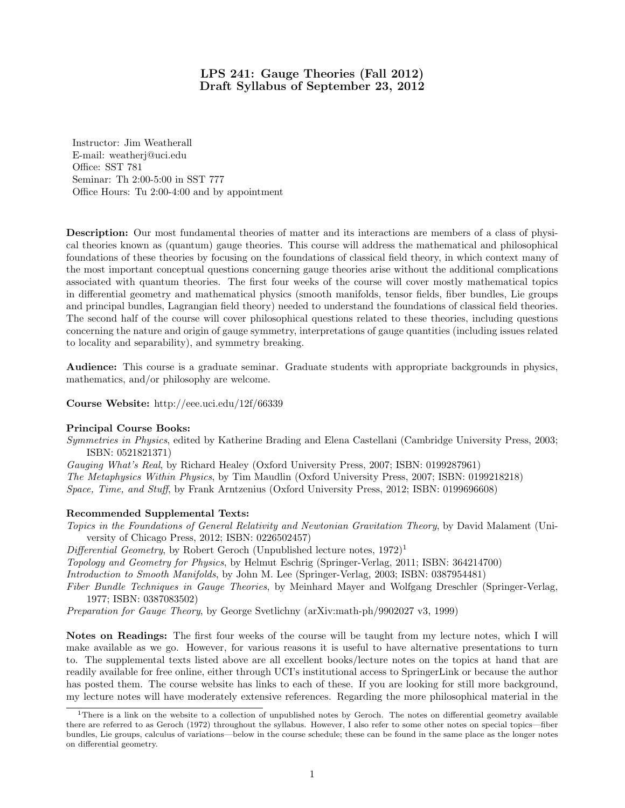# LPS 241: Gauge Theories (Fall 2012) Draft Syllabus of September 23, 2012

Instructor: Jim Weatherall E-mail: weatherj@uci.edu Office: SST 781 Seminar: Th 2:00-5:00 in SST 777 Office Hours: Tu 2:00-4:00 and by appointment

Description: Our most fundamental theories of matter and its interactions are members of a class of physical theories known as (quantum) gauge theories. This course will address the mathematical and philosophical foundations of these theories by focusing on the foundations of classical field theory, in which context many of the most important conceptual questions concerning gauge theories arise without the additional complications associated with quantum theories. The first four weeks of the course will cover mostly mathematical topics in differential geometry and mathematical physics (smooth manifolds, tensor fields, fiber bundles, Lie groups and principal bundles, Lagrangian field theory) needed to understand the foundations of classical field theories. The second half of the course will cover philosophical questions related to these theories, including questions concerning the nature and origin of gauge symmetry, interpretations of gauge quantities (including issues related to locality and separability), and symmetry breaking.

Audience: This course is a graduate seminar. Graduate students with appropriate backgrounds in physics, mathematics, and/or philosophy are welcome.

Course Website: http://eee.uci.edu/12f/66339

# Principal Course Books:

Symmetries in Physics, edited by Katherine Brading and Elena Castellani (Cambridge University Press, 2003; ISBN: 0521821371)

Gauging What's Real, by Richard Healey (Oxford University Press, 2007; ISBN: 0199287961) The Metaphysics Within Physics, by Tim Maudlin (Oxford University Press, 2007; ISBN: 0199218218) Space, Time, and Stuff, by Frank Arntzenius (Oxford University Press, 2012; ISBN: 0199696608)

### Recommended Supplemental Texts:

Topics in the Foundations of General Relativity and Newtonian Gravitation Theory, by David Malament (University of Chicago Press, 2012; ISBN: 0226502457)

Differential Geometry, by Robert Geroch (Unpublished lecture notes,  $1972$ )<sup>1</sup>

Topology and Geometry for Physics, by Helmut Eschrig (Springer-Verlag, 2011; ISBN: 364214700)

Introduction to Smooth Manifolds, by John M. Lee (Springer-Verlag, 2003; ISBN: 0387954481)

Fiber Bundle Techniques in Gauge Theories, by Meinhard Mayer and Wolfgang Dreschler (Springer-Verlag, 1977; ISBN: 0387083502)

Preparation for Gauge Theory, by George Svetlichny (arXiv:math-ph/9902027 v3, 1999)

Notes on Readings: The first four weeks of the course will be taught from my lecture notes, which I will make available as we go. However, for various reasons it is useful to have alternative presentations to turn to. The supplemental texts listed above are all excellent books/lecture notes on the topics at hand that are readily available for free online, either through UCI's institutional access to SpringerLink or because the author has posted them. The course website has links to each of these. If you are looking for still more background, my lecture notes will have moderately extensive references. Regarding the more philosophical material in the

<sup>&</sup>lt;sup>1</sup>There is a link on the website to a collection of unpublished notes by Geroch. The notes on differential geometry available there are referred to as Geroch (1972) throughout the syllabus. However, I also refer to some other notes on special topics—fiber bundles, Lie groups, calculus of variations—below in the course schedule; these can be found in the same place as the longer notes on differential geometry.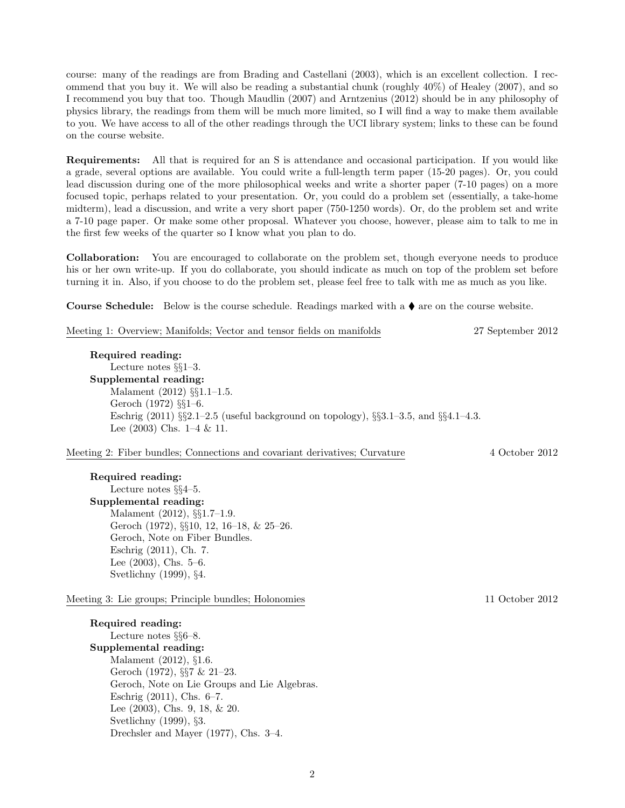course: many of the readings are from Brading and Castellani (2003), which is an excellent collection. I recommend that you buy it. We will also be reading a substantial chunk (roughly 40%) of Healey (2007), and so I recommend you buy that too. Though Maudlin (2007) and Arntzenius (2012) should be in any philosophy of physics library, the readings from them will be much more limited, so I will find a way to make them available to you. We have access to all of the other readings through the UCI library system; links to these can be found on the course website.

Requirements: All that is required for an S is attendance and occasional participation. If you would like a grade, several options are available. You could write a full-length term paper (15-20 pages). Or, you could lead discussion during one of the more philosophical weeks and write a shorter paper (7-10 pages) on a more focused topic, perhaps related to your presentation. Or, you could do a problem set (essentially, a take-home midterm), lead a discussion, and write a very short paper (750-1250 words). Or, do the problem set and write a 7-10 page paper. Or make some other proposal. Whatever you choose, however, please aim to talk to me in the first few weeks of the quarter so I know what you plan to do.

Collaboration: You are encouraged to collaborate on the problem set, though everyone needs to produce his or her own write-up. If you do collaborate, you should indicate as much on top of the problem set before turning it in. Also, if you choose to do the problem set, please feel free to talk with me as much as you like.

**Course Schedule:** Below is the course schedule. Readings marked with a  $\bullet$  are on the course website.

Meeting 1: Overview; Manifolds; Vector and tensor fields on manifolds 27 September 2012 Required reading: Lecture notes §§1–3. Supplemental reading: Malament (2012) §§1.1–1.5. Geroch (1972) §§1–6. Eschrig (2011) §§2.1–2.5 (useful background on topology), §§3.1–3.5, and §§4.1–4.3. Lee  $(2003)$  Chs. 1–4 & 11.

Meeting 2: Fiber bundles; Connections and covariant derivatives; Curvature 4 October 2012

Required reading: Lecture notes §§4–5. Supplemental reading: Malament (2012), §§1.7–1.9. Geroch (1972), §§10, 12, 16–18, & 25–26. Geroch, Note on Fiber Bundles. Eschrig (2011), Ch. 7. Lee (2003), Chs. 5–6. Svetlichny (1999), §4.

Meeting 3: Lie groups; Principle bundles; Holonomies 11 October 2012

Required reading: Lecture notes §§6–8. Supplemental reading: Malament (2012), §1.6. Geroch (1972), §§7 & 21–23. Geroch, Note on Lie Groups and Lie Algebras. Eschrig (2011), Chs. 6–7. Lee (2003), Chs. 9, 18, & 20. Svetlichny (1999), §3. Drechsler and Mayer (1977), Chs. 3–4.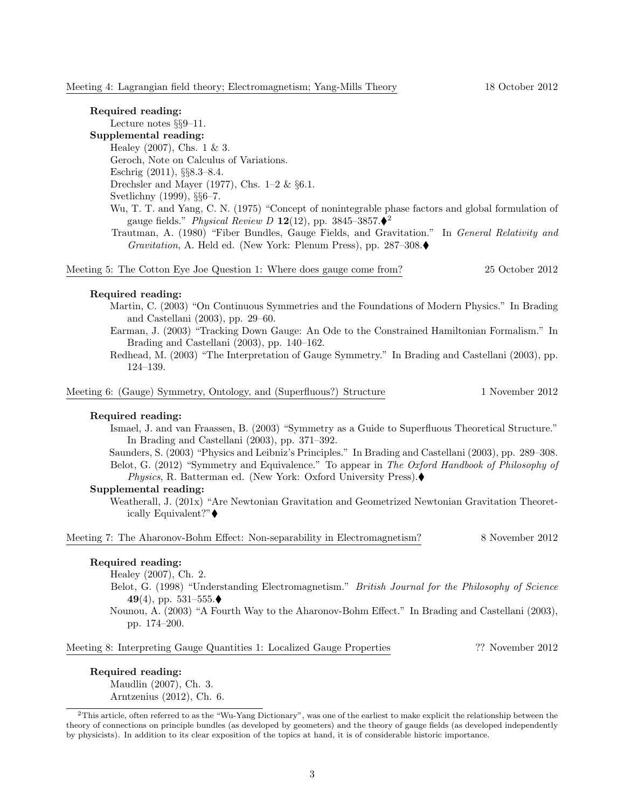# Required reading:

Lecture notes §§9–11.

Supplemental reading: Healey (2007), Chs. 1 & 3. Geroch, Note on Calculus of Variations. Eschrig (2011), §§8.3–8.4. Drechsler and Mayer (1977), Chs.  $1-2 \& \S 6.1$ . Svetlichny (1999), §§6–7. Wu, T. T. and Yang, C. N. (1975) "Concept of nonintegrable phase factors and global formulation of gauge fields." *Physical Review D* 12(12), pp. 3845-3857. $\bullet$ <sup>2</sup>

Trautman, A. (1980) "Fiber Bundles, Gauge Fields, and Gravitation." In General Relativity and Gravitation, A. Held ed. (New York: Plenum Press), pp.  $287-308.$ 

Meeting 5: The Cotton Eye Joe Question 1: Where does gauge come from? 25 October 2012

# Required reading:

- Martin, C. (2003) "On Continuous Symmetries and the Foundations of Modern Physics." In Brading and Castellani (2003), pp. 29–60.
- Earman, J. (2003) "Tracking Down Gauge: An Ode to the Constrained Hamiltonian Formalism." In Brading and Castellani (2003), pp. 140–162.
- Redhead, M. (2003) "The Interpretation of Gauge Symmetry." In Brading and Castellani (2003), pp. 124–139.

Meeting 6: (Gauge) Symmetry, Ontology, and (Superfluous?) Structure 1 November 2012

# Required reading:

- Ismael, J. and van Fraassen, B. (2003) "Symmetry as a Guide to Superfluous Theoretical Structure." In Brading and Castellani (2003), pp. 371–392.
- Saunders, S. (2003) "Physics and Leibniz's Principles." In Brading and Castellani (2003), pp. 289–308. Belot, G. (2012) "Symmetry and Equivalence." To appear in The Oxford Handbook of Philosophy of *Physics*, R. Batterman ed. (New York: Oxford University Press). $\blacklozenge$

### Supplemental reading:

Weatherall, J. (201x) "Are Newtonian Gravitation and Geometrized Newtonian Gravitation Theoretically Equivalent?"

Meeting 7: The Aharonov-Bohm Effect: Non-separability in Electromagnetism? 8 November 2012

### Required reading:

Healey (2007), Ch. 2.

- Belot, G. (1998) "Understanding Electromagnetism." British Journal for the Philosophy of Science 49(4), pp. 531–555. $\blacklozenge$
- Nounou, A. (2003) "A Fourth Way to the Aharonov-Bohm Effect." In Brading and Castellani (2003), pp. 174–200.

# Meeting 8: Interpreting Gauge Quantities 1: Localized Gauge Properties ?? November 2012

# Required reading:

Maudlin (2007), Ch. 3. Arntzenius (2012), Ch. 6.

 $2$ This article, often referred to as the "Wu-Yang Dictionary", was one of the earliest to make explicit the relationship between the theory of connections on principle bundles (as developed by geometers) and the theory of gauge fields (as developed independently by physicists). In addition to its clear exposition of the topics at hand, it is of considerable historic importance.